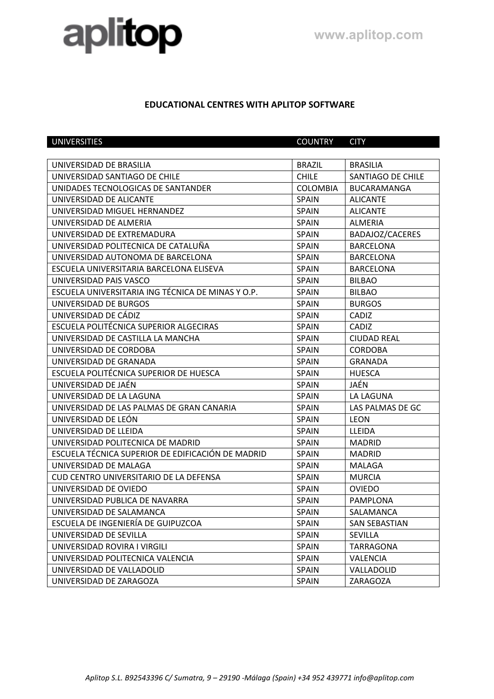## aplitop

## **EDUCATIONAL CENTRES WITH APLITOP SOFTWARE**

| <b>UNIVERSITIES</b>                               | <b>COUNTRY</b>  | <b>CITY</b>          |
|---------------------------------------------------|-----------------|----------------------|
|                                                   |                 |                      |
| UNIVERSIDAD DE BRASILIA                           | <b>BRAZIL</b>   | <b>BRASILIA</b>      |
| UNIVERSIDAD SANTIAGO DE CHILE                     | <b>CHILE</b>    | SANTIAGO DE CHILE    |
| UNIDADES TECNOLOGICAS DE SANTANDER                | <b>COLOMBIA</b> | BUCARAMANGA          |
| UNIVERSIDAD DE ALICANTE                           | <b>SPAIN</b>    | <b>ALICANTE</b>      |
| UNIVERSIDAD MIGUEL HERNANDEZ                      | SPAIN           | <b>ALICANTE</b>      |
| UNIVERSIDAD DE ALMERIA                            | <b>SPAIN</b>    | <b>ALMERIA</b>       |
| UNIVERSIDAD DE EXTREMADURA                        | <b>SPAIN</b>    | BADAJOZ/CACERES      |
| UNIVERSIDAD POLITECNICA DE CATALUÑA               | <b>SPAIN</b>    | <b>BARCELONA</b>     |
| UNIVERSIDAD AUTONOMA DE BARCELONA                 | <b>SPAIN</b>    | <b>BARCELONA</b>     |
| ESCUELA UNIVERSITARIA BARCELONA ELISEVA           | <b>SPAIN</b>    | <b>BARCELONA</b>     |
| UNIVERSIDAD PAIS VASCO                            | <b>SPAIN</b>    | <b>BILBAO</b>        |
| ESCUELA UNIVERSITARIA ING TÉCNICA DE MINAS Y O.P. | <b>SPAIN</b>    | <b>BILBAO</b>        |
| UNIVERSIDAD DE BURGOS                             | <b>SPAIN</b>    | <b>BURGOS</b>        |
| UNIVERSIDAD DE CÁDIZ                              | SPAIN           | CADIZ                |
| ESCUELA POLITÉCNICA SUPERIOR ALGECIRAS            | <b>SPAIN</b>    | CADIZ                |
| UNIVERSIDAD DE CASTILLA LA MANCHA                 | <b>SPAIN</b>    | <b>CIUDAD REAL</b>   |
| UNIVERSIDAD DE CORDOBA                            | <b>SPAIN</b>    | <b>CORDOBA</b>       |
| UNIVERSIDAD DE GRANADA                            | <b>SPAIN</b>    | <b>GRANADA</b>       |
| ESCUELA POLITÉCNICA SUPERIOR DE HUESCA            | <b>SPAIN</b>    | <b>HUESCA</b>        |
| UNIVERSIDAD DE JAÉN                               | <b>SPAIN</b>    | JAÉN                 |
| UNIVERSIDAD DE LA LAGUNA                          | <b>SPAIN</b>    | LA LAGUNA            |
| UNIVERSIDAD DE LAS PALMAS DE GRAN CANARIA         | <b>SPAIN</b>    | LAS PALMAS DE GC     |
| UNIVERSIDAD DE LEÓN                               | <b>SPAIN</b>    | <b>LEON</b>          |
| UNIVERSIDAD DE LLEIDA                             | <b>SPAIN</b>    | <b>LLEIDA</b>        |
| UNIVERSIDAD POLITECNICA DE MADRID                 | <b>SPAIN</b>    | <b>MADRID</b>        |
| ESCUELA TÉCNICA SUPERIOR DE EDIFICACIÓN DE MADRID | SPAIN           | <b>MADRID</b>        |
| UNIVERSIDAD DE MALAGA                             | <b>SPAIN</b>    | <b>MALAGA</b>        |
| <b>CUD CENTRO UNIVERSITARIO DE LA DEFENSA</b>     | <b>SPAIN</b>    | <b>MURCIA</b>        |
| UNIVERSIDAD DE OVIEDO                             | <b>SPAIN</b>    | <b>OVIEDO</b>        |
| UNIVERSIDAD PUBLICA DE NAVARRA                    | <b>SPAIN</b>    | PAMPLONA             |
| UNIVERSIDAD DE SALAMANCA                          | SPAIN           | SALAMANCA            |
| ESCUELA DE INGENIERÍA DE GUIPUZCOA                | <b>SPAIN</b>    | <b>SAN SEBASTIAN</b> |
| UNIVERSIDAD DE SEVILLA                            | <b>SPAIN</b>    | <b>SEVILLA</b>       |
| UNIVERSIDAD ROVIRA I VIRGILI                      | <b>SPAIN</b>    | <b>TARRAGONA</b>     |
| UNIVERSIDAD POLITECNICA VALENCIA                  | <b>SPAIN</b>    | <b>VALENCIA</b>      |
| UNIVERSIDAD DE VALLADOLID                         | <b>SPAIN</b>    | VALLADOLID           |
| UNIVERSIDAD DE ZARAGOZA                           | <b>SPAIN</b>    | ZARAGOZA             |